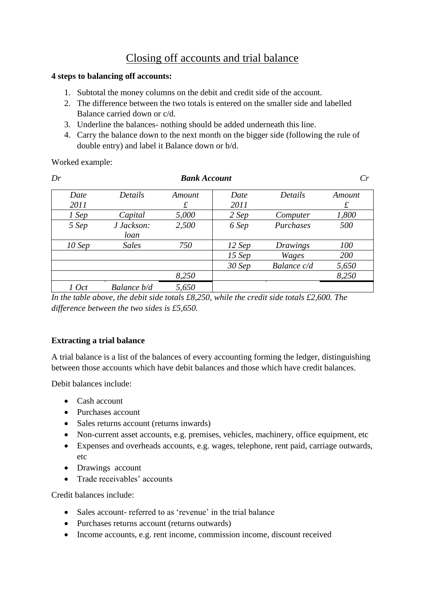## Closing off accounts and trial balance

## **4 steps to balancing off accounts:**

- 1. Subtotal the money columns on the debit and credit side of the account.
- 2. The difference between the two totals is entered on the smaller side and labelled Balance carried down or c/d.
- 3. Underline the balances- nothing should be added underneath this line.
- 4. Carry the balance down to the next month on the bigger side (following the rule of double entry) and label it Balance down or b/d.

Worked example:

| Dr       |              | Cr     |          |             |        |
|----------|--------------|--------|----------|-------------|--------|
| Date     | Details      | Amount | Date     | Details     | Amount |
| 2011     |              | £      | 2011     |             | £      |
| 1 Sep    | Capital      | 5,000  | 2 Sep    | Computer    | 1,800  |
| 5 Sep    | J Jackson:   | 2,500  | 6 Sep    | Purchases   | 500    |
|          | loan         |        |          |             |        |
| $10$ Sep | <b>Sales</b> | 750    | $12$ Sep | Drawings    | 100    |
|          |              |        | $15$ Sep | Wages       | 200    |
|          |              |        | $30$ Sep | Balance c/d | 5,650  |
|          |              | 8,250  |          |             | 8,250  |
| 1 Oct    | Balance b/d  | 5,650  |          |             |        |

*In the table above, the debit side totals £8,250, while the credit side totals £2,600. The difference between the two sides is £5,650.*

## **Extracting a trial balance**

A trial balance is a list of the balances of every accounting forming the ledger, distinguishing between those accounts which have debit balances and those which have credit balances.

Debit balances include:

- Cash account
- Purchases account
- Sales returns account (returns inwards)
- Non-current asset accounts, e.g. premises, vehicles, machinery, office equipment, etc
- Expenses and overheads accounts, e.g. wages, telephone, rent paid, carriage outwards, etc
- Drawings account
- Trade receivables' accounts

Credit balances include:

- Sales account- referred to as 'revenue' in the trial balance
- Purchases returns account (returns outwards)
- Income accounts, e.g. rent income, commission income, discount received